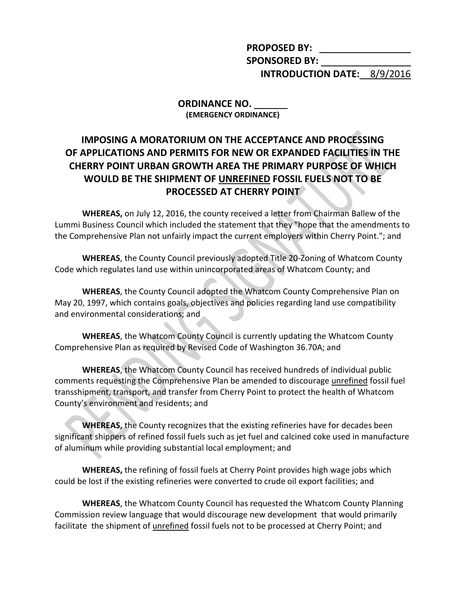**PROPOSED BY: SPONSORED BY: INTRODUCTION DATE:** 8/9/2016

**ORDINANCE NO. (EMERGENCY ORDINANCE)**

## **IMPOSING A MORATORIUM ON THE ACCEPTANCE AND PROCESSING OF APPLICATIONS AND PERMITS FOR NEW OR EXPANDED FACILITIES IN THE CHERRY POINT URBAN GROWTH AREA THE PRIMARY PURPOSE OF WHICH WOULD BE THE SHIPMENT OF UNREFINED FOSSIL FUELS NOT TO BE PROCESSED AT CHERRY POINT**

**WHEREAS,** on July 12, 2016, the county received a letter from Chairman Ballew of the Lummi Business Council which included the statement that they "hope that the amendments to the Comprehensive Plan not unfairly impact the current employers within Cherry Point."; and

**WHEREAS**, the County Council previously adopted Title 20-Zoning of Whatcom County Code which regulates land use within unincorporated areas of Whatcom County; and

**WHEREAS**, the County Council adopted the Whatcom County Comprehensive Plan on May 20, 1997, which contains goals, objectives and policies regarding land use compatibility and environmental considerations; and

**WHEREAS**, the Whatcom County Council is currently updating the Whatcom County Comprehensive Plan as required by Revised Code of Washington 36.70A; and

**WHEREAS**, the Whatcom County Council has received hundreds of individual public comments requesting the Comprehensive Plan be amended to discourage unrefined fossil fuel transshipment, transport, and transfer from Cherry Point to protect the health of Whatcom County's environment and residents; and

**WHEREAS,** the County recognizes that the existing refineries have for decades been significant shippers of refined fossil fuels such as jet fuel and calcined coke used in manufacture of aluminum while providing substantial local employment; and

**WHEREAS,** the refining of fossil fuels at Cherry Point provides high wage jobs which could be lost if the existing refineries were converted to crude oil export facilities; and

**WHEREAS**, the Whatcom County Council has requested the Whatcom County Planning Commission review language that would discourage new development that would primarily facilitate the shipment of unrefined fossil fuels not to be processed at Cherry Point; and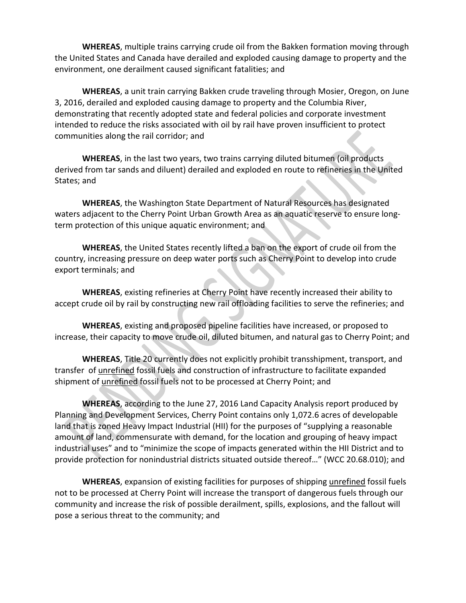**WHEREAS**, multiple trains carrying crude oil from the Bakken formation moving through the United States and Canada have derailed and exploded causing damage to property and the environment, one derailment caused significant fatalities; and

**WHEREAS**, a unit train carrying Bakken crude traveling through Mosier, Oregon, on June 3, 2016, derailed and exploded causing damage to property and the Columbia River, demonstrating that recently adopted state and federal policies and corporate investment intended to reduce the risks associated with oil by rail have proven insufficient to protect communities along the rail corridor; and

**WHEREAS**, in the last two years, two trains carrying diluted bitumen (oil products derived from tar sands and diluent) derailed and exploded en route to refineries in the United States; and

**WHEREAS**, the Washington State Department of Natural Resources has designated waters adjacent to the Cherry Point Urban Growth Area as an aquatic reserve to ensure longterm protection of this unique aquatic environment; and

**WHEREAS**, the United States recently lifted a ban on the export of crude oil from the country, increasing pressure on deep water ports such as Cherry Point to develop into crude export terminals; and

**WHEREAS**, existing refineries at Cherry Point have recently increased their ability to accept crude oil by rail by constructing new rail offloading facilities to serve the refineries; and

**WHEREAS**, existing and proposed pipeline facilities have increased, or proposed to increase, their capacity to move crude oil, diluted bitumen, and natural gas to Cherry Point; and

**WHEREAS**, Title 20 currently does not explicitly prohibit transshipment, transport, and transfer of unrefined fossil fuels and construction of infrastructure to facilitate expanded shipment of unrefined fossil fuels not to be processed at Cherry Point; and

**WHEREAS**, according to the June 27, 2016 Land Capacity Analysis report produced by Planning and Development Services, Cherry Point contains only 1,072.6 acres of developable land that is zoned Heavy Impact Industrial (HII) for the purposes of "supplying a reasonable amount of land, commensurate with demand, for the location and grouping of heavy impact industrial uses" and to "minimize the scope of impacts generated within the HII District and to provide protection for nonindustrial districts situated outside thereof…" (WCC 20.68.010); and

**WHEREAS**, expansion of existing facilities for purposes of shipping unrefined fossil fuels not to be processed at Cherry Point will increase the transport of dangerous fuels through our community and increase the risk of possible derailment, spills, explosions, and the fallout will pose a serious threat to the community; and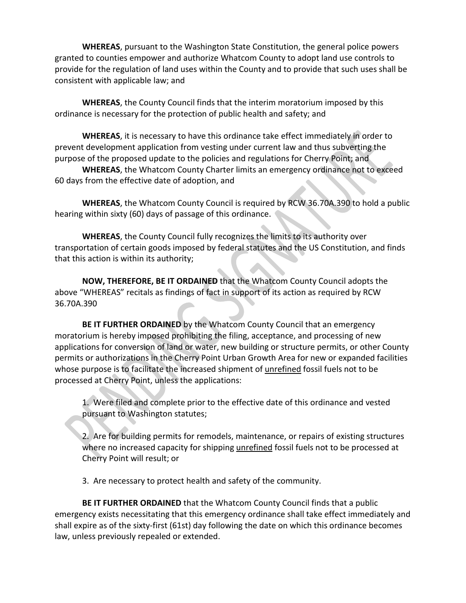**WHEREAS**, pursuant to the Washington State Constitution, the general police powers granted to counties empower and authorize Whatcom County to adopt land use controls to provide for the regulation of land uses within the County and to provide that such uses shall be consistent with applicable law; and

**WHEREAS**, the County Council finds that the interim moratorium imposed by this ordinance is necessary for the protection of public health and safety; and

**WHEREAS**, it is necessary to have this ordinance take effect immediately in order to prevent development application from vesting under current law and thus subverting the purpose of the proposed update to the policies and regulations for Cherry Point; and

**WHEREAS**, the Whatcom County Charter limits an emergency ordinance not to exceed 60 days from the effective date of adoption, and

**WHEREAS**, the Whatcom County Council is required by RCW 36.70A.390 to hold a public hearing within sixty (60) days of passage of this ordinance.

**WHEREAS**, the County Council fully recognizes the limits to its authority over transportation of certain goods imposed by federal statutes and the US Constitution, and finds that this action is within its authority;

**NOW, THEREFORE, BE IT ORDAINED** that the Whatcom County Council adopts the above "WHEREAS" recitals as findings of fact in support of its action as required by RCW 36.70A.390

**BE IT FURTHER ORDAINED** by the Whatcom County Council that an emergency moratorium is hereby imposed prohibiting the filing, acceptance, and processing of new applications for conversion of land or water, new building or structure permits, or other County permits or authorizations in the Cherry Point Urban Growth Area for new or expanded facilities whose purpose is to facilitate the increased shipment of unrefined fossil fuels not to be processed at Cherry Point, unless the applications:

1. Were filed and complete prior to the effective date of this ordinance and vested pursuant to Washington statutes;

2. Are for building permits for remodels, maintenance, or repairs of existing structures where no increased capacity for shipping unrefined fossil fuels not to be processed at Cherry Point will result; or

3. Are necessary to protect health and safety of the community.

**BE IT FURTHER ORDAINED** that the Whatcom County Council finds that a public emergency exists necessitating that this emergency ordinance shall take effect immediately and shall expire as of the sixty-first (61st) day following the date on which this ordinance becomes law, unless previously repealed or extended.